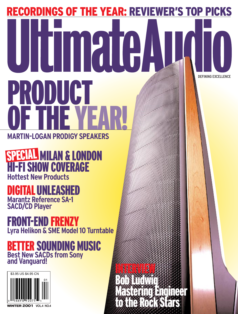# RECORDINGS OF THE YEAR: REVIEWER'S TOP PICKS **DEFINING EXCELLENCE NGT** OF THE YEAR!

INTERVIEW

Bob Ludwig

Mastering Engineer

to the Rock Stars

**MARTIN-LOGAN PRODIGY SPEAKERS**

MILAN & LONDON HI-FI SHOW COVERAGE **Hottest New Products** SPECIAL

## DIGITALUNLEASHED

**Marantz Reference SA-1 SACD/CD Player**

# FRONT-END FRENZY

**Lyra Helikon & SME Model 10 Turntable**

### BETTER SOUNDING MUSIC **Best New SACDs from Sony and Vanguard!**

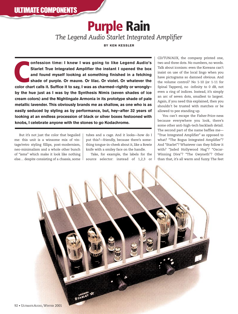**Purple Rain**

*The Legend Audio Starlet Integrated Amplifier*

**BY KEN KESSLER**

**COLORED CALLS INTERNATION CONTROVIDED STATE CHARTER CHARTER CHARTER CHARTER CHARTER CHARTER CHARTER CHARTER CHARTER CHARTER COLOR Chart calls it. Suffice it to say, I was as charmed–rightly or wrongly– onfession time: I knew I was going to like Legend Audio's Starlet True Integrated Amplifier the instant I opened the box and found myself looking at something finished in a fetching shade of purple. Or mauve. Or lilac. Or violet. Or whatever the by the hue just as I was by the Synthesis Nimis (seven shades of ice cream colors) and the Nightingale Armonia in its prototype shade of pale metallic lavender. This obviously brands me as shallow, as one who is as easily seduced by styling as by performance, but, hey—after 32 years of looking at an endless procession of black or silver boxes festooned with knobs, I celebrate anyone with the stones to go Kodachrome.**

But it's not just the color that beguiled me: this unit is a winsome mix of vintage/retro styling fillips, post-modernism, neo-minimalism and a whole other bunch of "isms" which make it look like nothing else… despite consisting of a chassis, some tubes and a cage. And it looks—how do I put this?—friendly, because there's something tongue-in-cheek about it, like a Bowie knife with a smiley face on the handle.

Take, for example, the labels for the source selector: instead of 1,2,3 or CD/TUN/AUX, the company printed one, two and three dots. No numbers, no words. Talk about iconism: even the Koreans can't insist on use of the local lingo when you have pictograms so damned obvious. And the volume control? No 1-10 (or 1-11 for Spinal Tappers), no -infinity to 0 dB, not even a ring of indices. Instead, it's simply an arc of seven dots, smallest to largest. Again, if you need this explained, then you shouldn't be trusted with matches or be allowed to pee standing up.

You can't escape the Fisher-Price-ness because everywhere you look, there's some other anti-high-tech backlash detail. The second part of the name baffles me— "True Integrated Amplifier" as opposed to what? "The Bogus Integrated Amplifier"? And "Starlet"? Whatever can they follow it with? "Jaded Hollywood Hag"? "Oscar-Winning Diva"? "The Gwyneth"? Other than that, it's all warm and fuzzy. The feet

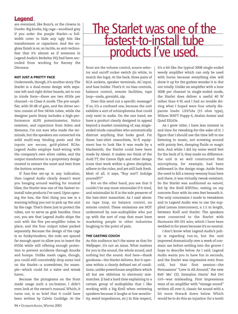### **Legend**

are oversized, like Bozo's, or the clowns in *Dumbo*. Big knobs, big cage—anodized grey if you order the purple Starlet—a fullwidth cover to hide any ugly bits like transformers or capacitors. And the nogloss finish is so, so tactile, so anti-technofear that it's almost as if someone in Legend Audio's Berkeley HQ had been seconded from working for Barney the Dinosaur.

#### **NOT JUST A PRETTY FACE**

Underneath, though, it's another story.The Starlet is a dual-mono design with separate left-and-right driver boards, set to run in triode form—there are two 6550s per channel—in Class A mode. The pre-amplifier, with 20 dB of gain, and the driver section consist of five 5814A tubes, while the designer parts litany includes a high-performance ALPS potentiometer, Holco resistors, and capacitors from Solen and Siemens. I'm not sure who made the terminals, but the speakers are connected via solid multi-way binding posts and the inputs are secure, gold-plated RCAs. Legend Audio employs hard-wiring with the company's own silver cables, and the output transformer is a proprietary design created to extract the most and best from the bottom octaves.

If fuss-free set-up is any indication, then Legend Audio clearly doesn't want you hanging around waiting for musical bliss; the Starlet was one of the fastest-toinstall tube products I've used. Upon opening the box, the first thing you see is a warning telling you not to pick up the unit by the cage. That's there just to protect the tubes, not to serve as grab handles. Once out, you see that Legend Audio ships the unit with the five pre-amplifier tubes in place, and the four output tubes packed separately. Because the design of the cage is so funky/modern, the rods are spaced far enough apart to allow you to insert the 6550s while still offering enough protection to prevent accidents through knocks and bumps. Unlike mesh cages, though, you could still conceivably drop some tool on the Starlet—a screwdriver, for example—which could hit a valve and wreak havoc.

Because the pictograms on the front made usage such a no-brainer, I didn't even look at the owner's manual. Which, it turns out, is so brief that it could have been written by Calvin Coolidge. At the

### The Starlet was one of the fastest-to-install tube products I've used.

front are the volume control, source selector and on/off rocker switch (in white, to match the logo). At the back, three pairs of RCA sockets, speaker terminals, AC input, and fuse holder. That's it: no bias controls, balance control, remote facilities, tape loop—nada, gornisht, zip.

Does this send out a specific message? If so, it's a confused one, because the unit exhibits a sort of schizophrenia that could only exist in audio. On the one hand, we have a product clearly designed to appeal beyond a market consisting of, say, singleended triode casualties who automatically distrust anything that looks good. For those hair-shirt masochists, hi-fi equipment has to look like it was made by a blacksmith; the Starlet could have been made by Alessi. It makes me think of the Audi TT, the Canon Elph and other design icons that work within a given discipline, adhere to the rules, and yet still look fresh. Most of all, it says, "Buy me!!! Indulge yourself!!!"

But on the other hand, you see that it couldn't be any more minimalist if it tried, and minimalist hi-fi is the sole preserve of the hair-shirt masochist. As I said above: no tape loop, no balance control, no remote control. These omissions are NOT understood by non-audiophiles who put up with the sort of crap that must have marketing people in other industries laughing to the point of pain.

#### **THE CASTING COUCH**

As this audience isn't the same as that for *Wallpaper*, it's not an issue. What matters for you is the sound, the whole sound, and nothing but the sound. And here—thank goodness—the Starlet delivers. But it operates within a clearly defined set of conditions, unlike powerhouse amplifiers which all but are oblivious to electronic mismatches. (I had a hard time explaining to a certain group of audiophiles that I like working with a big Krell when reviewing speakers because it laughs at low sensitivity, weird impedances, *etc*.) In this respect, it's a bit like the typical 300B single-ended weedy amplifier which can only be used with horns because everything else will show it up for the gutless wonder it is. But not totally. Unlike an amplifier with a lone 300B per channel in single-ended mode, the Starlet does deliver a useful 40 W rather than 4 W, and I had no trouble driving what I hoped were four utterly disparate loads: LS3/5As (15 ohm type), Wilson WATT Puppy 6, Avalon Avatar and Quad ESL63s.

As I grow older, I have less interest in and time for tweaking-for-the-sake-of-it. I figure that I should use the time left to me listening to music, not screwing around with pointy feet, damping fluids or magic dots. And while I did try some weird feet for the heck of it, they made no difference: the unit is so well constructed that microphony, for example, had been addressed in the design stage. Aside from the need to kill a teensy-weensy buzz here and there, it was virtually tweak-resistant. So the Starlet was auditioned *au naturel*, fed by the Krell KSP25sc, resting on my concrete floor with its own feet beneath it. The only concession I made to tweakdom and to Legend Audio was to use the supplied Lemaa interconnect, a 1.5 m length, between Krell and Starlet. The speakers were connected to the Starlet with Harmonix SH-101 wire, which I have been wedded to for years because it's so neutral.

I don't know what Legend Audio's policy is regarding run-in, but the unit improved dramatically over a week of constant use before settling into the groove I hope to describe below. As I said, Legend Audio wants you to have fun in seconds, and the Starlet was impressive even from cold, but that first session—the Persuasions' "Love Is All Around," the new Keb' Mo' CD, Emmylou Harris' *Red Dirt Girl*—was misleading. First impressions were of an amplifier with "vintage sound" written all over it, classic fat sound with a bit more thwack down below. Which would be to do this an injustice: for a tenth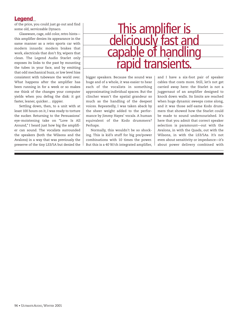### **Legend**

of the price, you could just go out and find some old, serviceable Dynaco.

Glassware, cage, odd color, retro hints this amplifier denies its appearance in the same manner as a retro sports car with modern innards: modern brakes that work, electricals that don't fry, wipers that clean. The Legend Audio Starlet only exposes its links to the past by mounting the tubes in your face, and by emitting that odd mechanical buzz, or low level hiss consistent with tubeware the world over. What happens after the amplifier has been running in for a week or so makes me think of the changes your computer yields when you defrag the disk: it got faster, leaner, quicker… zippier.

Settling down, then, to a unit with at least 100 hours on it, I was ready to torture the sucker. Returning to the Persuasions' eye-moistening take on "Love Is All Around," I heard just how big the amplifier can sound. The vocalists surrounded the speakers (both the Wilsons and the Avalons) in a way that was previously the preserve of the tiny LS3/5A but denied the

### This amplifier is deliciously fast and capable of handling transien

bigger speakers. Because the sound was huge and of a whole, it was easier to hear each of the vocalists in something approximating individual spaces. But the clincher wasn't the spatial grandeur so much as the handling of the deepest voices. Repeatedly, I was taken aback by the sheer weight added to the performance by Jimmy Hayes' vocals. A human equivalent of the Kodo drummers? Perhaps.

Normally, this wouldn't be so shocking. This is kid's stuff for big pre/power combinations with 10 times the power. But this is a 40 W/ch integrated amplifier, and I have a six-foot pair of speaker cables that costs more. Still, let's not get carried away here: the Starlet is not a juggernaut of an amplifier designed to knock down walls. Its limits are reached when huge dynamic sweeps come along, and it was those self-same Kodo drummers that showed how the Starlet could be made to sound undernourished. It's here that you admit that correct speaker selection is paramount—out with the Avalons, in with the Quads, out with the Wilsons, in with the LS3/5As. It's not even about sensitivity or impedance—it's about power delivery combined with